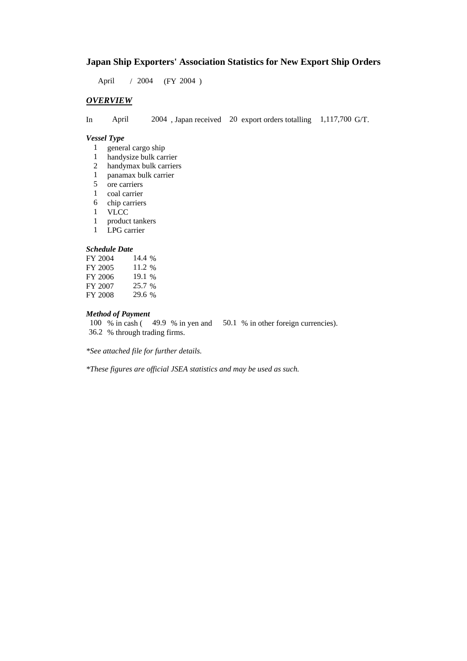# **Japan Ship Exporters' Association Statistics for New Export Ship Orders**

April / 2004 (FY 2004)

## *OVERVIEW*

In April 2004 , Japan received 20 export orders totalling 1,117,700 G/T.

#### *Vessel Type*

- 1 general cargo ship
- 1 handysize bulk carrier
- 2 handymax bulk carriers
- 1 panamax bulk carrier
- 5 ore carriers
- 1 coal carrier
- 6 chip carriers
- 1 VLCC
- 1 product tankers
- 1 LPG carrier

#### *Schedule Date*

| FY 2004 | 14.4 %   |
|---------|----------|
| FY 2005 | 11.2 %   |
| FY 2006 | $19.1\%$ |
| FY 2007 | 25.7 %   |
| FY 2008 | 29.6 %   |

#### *Method of Payment*

100 % in cash (49.9 % in yen and 50.1 % in other foreign currencies). 36.2 % through trading firms.

*\*See attached file for further details.*

*\*These figures are official JSEA statistics and may be used as such.*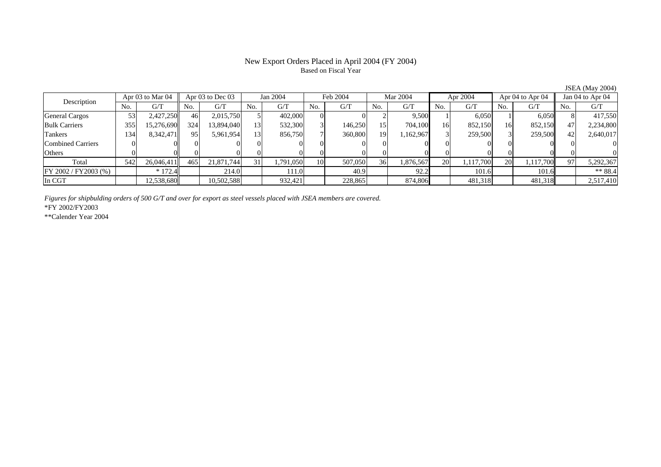## New Export Orders Placed in April 2004 (FY 2004) Based on Fiscal Year

Description Apr 03 to Mar 04 Apr 03 to Dec 03 Jan 2004 Feb 2004 Mar 2004 Apr 2004 Apr 04 to Apr 04 Jan 04 to Apr 04 No. $No.$   $G/T$ T || No. | G/T || No. | G/T || No. | G/T || No. | G/T || G/T || No. | G/T || No. | G/T || No. | G/T General Cargos ( 53 2,427,250 46 2,015,750 5 402,000 0 0 2 9,500 1 6,050 1 6,050 8 417,550 Bulk Carriers 3555| 15,276,690|| 324| 13,894,040| 13| 532,300| 3| 146,250| 15| 704,100| 16| 852,150| 16| 852,150|| 47| 2,234,800 Tankers 1344| 8,342,471|| 95| 5,961,954| 13| 856,750| 7| 360,800| 19| 1,162,967| 3| 259,500| 3| 259,500|| 42| 2,640,017 Combined Carriers 1 0 0 0 0 0 0 0 0 0 0 0 0 0 0 0 0 **Others** s and  $\vert 0$  0 0 0 0 0 0 0 0 0 0 0 0 0 0 0 Total 5422| 26,046,411|| 465| 21,871,744| 31| 1,791,050| 10| 507,050| 36| 1,876,567| 20| 1,117,700| 20| 1,117,700|| 97| 5,292,367  $\boxed{FY\,2002/FY2003\,(%)}$  \* 172.4  $\boxed{}$  214.0 101.0 101.0 40.9 92.2 101.6 101.6 101.6 \*\* 88.4 In CGT12,538,680 | 12,538,680 | 10,502,588 | 332,421 | 228,865 | 34,806 | 481,318 | 481,318 | 2,517,410

*Figures for shipbulding orders of 500 G/T and over for export as steel vessels placed with JSEA members are covered.*

\*FY 2002/FY2003

\*\*Calender Year 2004

JSEA (May 2004)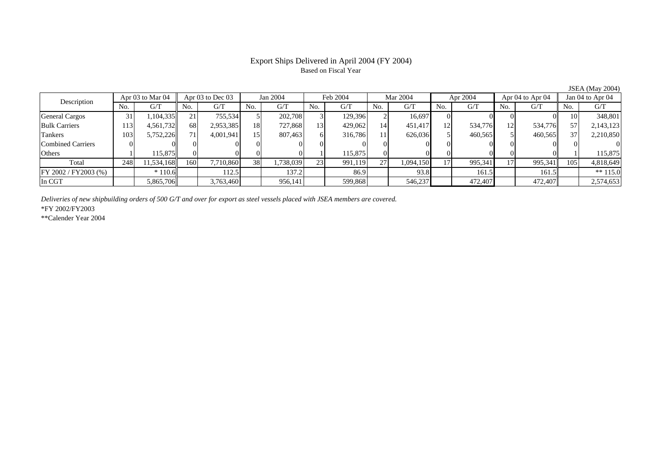## Export Ships Delivered in April 2004 (FY 2004) Based on Fiscal Year

Description Apr 03 to Mar 04 Apr 03 to Dec 03 Jan 2004 Feb 2004 Mar 2004 Apr 2004 Apr 04 to Apr 04 Jan 04 to Apr 04<br>No. 1 G/T No. 1 G/T No. 1 G/T No. 1 G/T No. 1 G/T No. 1 G/T No. 1 G/T No. 1 G/T No. 1 G/T No. 1 G/T No.  $G/T$ T || No. | G/T || No. | G/T || No. | G/T || No. | G/T || G/T || No. | G/T || No. | G/T || No. | G/T General Cargos ( 31 | 1,104,335 | 21 | 755,534 | 5 | 202,708 | 3 | 129,396 | 2 | 16,697 | 0 | 0 | 0 0 0 0 0 10 348,801 Bulk Carriers 1133| 4,561,732|| 68| 2,953,385| 18| 727,868| 13| 429,062| 14| 451,417| 12| 534,776| 12| 534,776|| 57| 2,143,123 Tankers 1033| 5,752,226|| 71| 4,001,941| 15| 807,463| 6| 316,786| 11| 626,036| 5| 460,565| 5| 460,565|| 37| 2,210,850 Combined Carriers 0 0 0 0 0 0 0 0 0 0 0 0 0 0 0 0 **Others** s and  $1$ 1 115,875 0 0 0 0 1 15,875 0 0 0 0 0 0 1 115,875 Total 2488| 11,534,168|| 160| 7,710,860| 38| 1,738,039| 23| 991,119| 27| 1,094,150| 17| 995,341| 17| 995,341| 105| 4,818,649 FY 2002 / FY 2003 (%) \* 110.6 112.5 137.2 86.9 93.8 161.5 161.5 161.5 \*\* 115.0 In CGT5,865,706 3,763,460 956,141 599,868 546,237 472,407 472,407 2,574,653

*Deliveries of new shipbuilding orders of 500 G/T and over for export as steel vessels placed with JSEA members are covered.*

\*FY 2002/FY2003

\*\*Calender Year 2004

JSEA (May 2004)